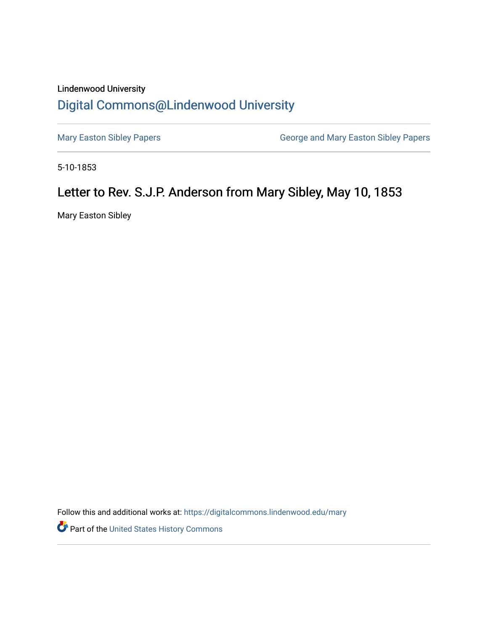## Lindenwood University [Digital Commons@Lindenwood University](https://digitalcommons.lindenwood.edu/)

[Mary Easton Sibley Papers](https://digitalcommons.lindenwood.edu/mary) **George and Mary Easton Sibley Papers** George and Mary Easton Sibley Papers

5-10-1853

## Letter to Rev. S.J.P. Anderson from Mary Sibley, May 10, 1853

Mary Easton Sibley

Follow this and additional works at: [https://digitalcommons.lindenwood.edu/mary](https://digitalcommons.lindenwood.edu/mary?utm_source=digitalcommons.lindenwood.edu%2Fmary%2F26&utm_medium=PDF&utm_campaign=PDFCoverPages) 

Part of the [United States History Commons](https://network.bepress.com/hgg/discipline/495?utm_source=digitalcommons.lindenwood.edu%2Fmary%2F26&utm_medium=PDF&utm_campaign=PDFCoverPages)